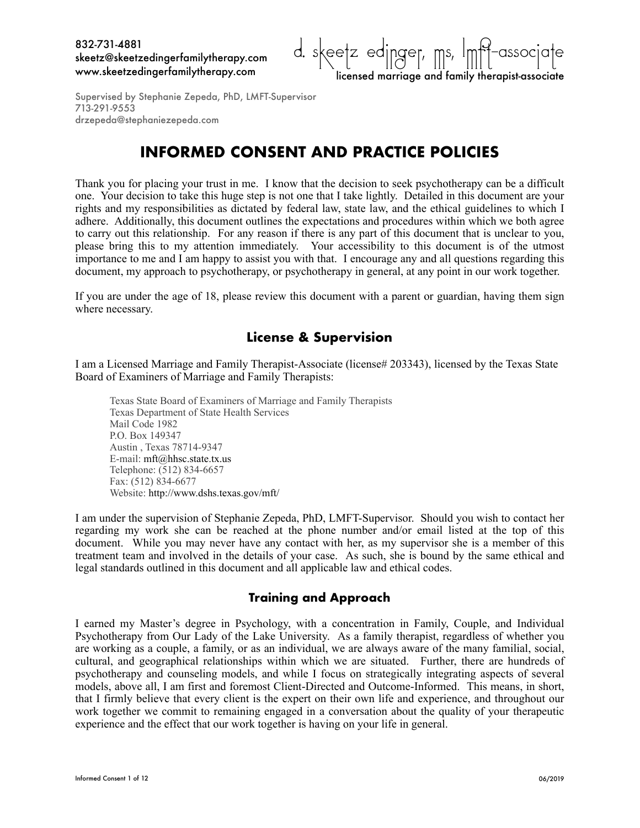

## **INFORMED CONSENT AND PRACTICE POLICIES**

Thank you for placing your trust in me. I know that the decision to seek psychotherapy can be a difficult one. Your decision to take this huge step is not one that I take lightly. Detailed in this document are your rights and my responsibilities as dictated by federal law, state law, and the ethical guidelines to which I adhere. Additionally, this document outlines the expectations and procedures within which we both agree to carry out this relationship. For any reason if there is any part of this document that is unclear to you, please bring this to my attention immediately. Your accessibility to this document is of the utmost importance to me and I am happy to assist you with that. I encourage any and all questions regarding this document, my approach to psychotherapy, or psychotherapy in general, at any point in our work together.

If you are under the age of 18, please review this document with a parent or guardian, having them sign where necessary.

## **License & Supervision**

I am a Licensed Marriage and Family Therapist-Associate (license# 203343), licensed by the Texas State Board of Examiners of Marriage and Family Therapists:

Texas State Board of Examiners of Marriage and Family Therapists Texas Department of State Health Services Mail Code 1982 P.O. Box 149347 Austin , Texas 78714-9347 E-mail: mft@hhsc.state.tx.us Telephone: (512) 834-6657 Fax: (512) 834-6677 Website:<http://www.dshs.texas.gov/mft/>

I am under the supervision of Stephanie Zepeda, PhD, LMFT-Supervisor. Should you wish to contact her regarding my work she can be reached at the phone number and/or email listed at the top of this document. While you may never have any contact with her, as my supervisor she is a member of this treatment team and involved in the details of your case. As such, she is bound by the same ethical and legal standards outlined in this document and all applicable law and ethical codes.

### **Training and Approach**

I earned my Master's degree in Psychology, with a concentration in Family, Couple, and Individual Psychotherapy from Our Lady of the Lake University. As a family therapist, regardless of whether you are working as a couple, a family, or as an individual, we are always aware of the many familial, social, cultural, and geographical relationships within which we are situated. Further, there are hundreds of psychotherapy and counseling models, and while I focus on strategically integrating aspects of several models, above all, I am first and foremost Client-Directed and Outcome-Informed. This means, in short, that I firmly believe that every client is the expert on their own life and experience, and throughout our work together we commit to remaining engaged in a conversation about the quality of your therapeutic experience and the effect that our work together is having on your life in general.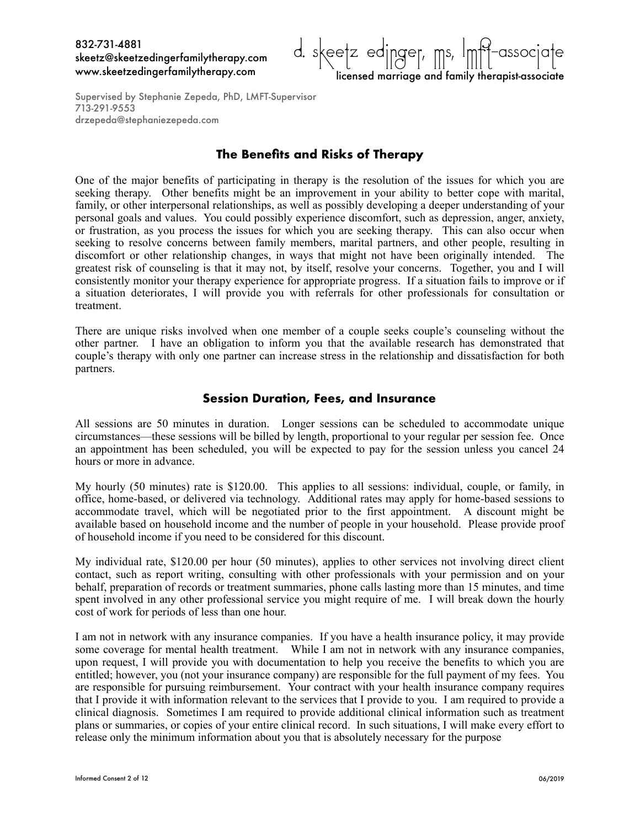

Supervised by Stephanie Zepeda, PhD, LMFT-Supervisor 713-291-9553 drzepeda@stephaniezepeda.com

## **The Benefits and Risks of Therapy**

One of the major benefits of participating in therapy is the resolution of the issues for which you are seeking therapy. Other benefits might be an improvement in your ability to better cope with marital, family, or other interpersonal relationships, as well as possibly developing a deeper understanding of your personal goals and values. You could possibly experience discomfort, such as depression, anger, anxiety, or frustration, as you process the issues for which you are seeking therapy. This can also occur when seeking to resolve concerns between family members, marital partners, and other people, resulting in discomfort or other relationship changes, in ways that might not have been originally intended. The greatest risk of counseling is that it may not, by itself, resolve your concerns. Together, you and I will consistently monitor your therapy experience for appropriate progress. If a situation fails to improve or if a situation deteriorates, I will provide you with referrals for other professionals for consultation or treatment.

There are unique risks involved when one member of a couple seeks couple's counseling without the other partner. I have an obligation to inform you that the available research has demonstrated that couple's therapy with only one partner can increase stress in the relationship and dissatisfaction for both partners.

#### **Session Duration, Fees, and Insurance**

All sessions are 50 minutes in duration. Longer sessions can be scheduled to accommodate unique circumstances—these sessions will be billed by length, proportional to your regular per session fee. Once an appointment has been scheduled, you will be expected to pay for the session unless you cancel 24 hours or more in advance.

My hourly (50 minutes) rate is \$120.00. This applies to all sessions: individual, couple, or family, in office, home-based, or delivered via technology. Additional rates may apply for home-based sessions to accommodate travel, which will be negotiated prior to the first appointment. A discount might be available based on household income and the number of people in your household. Please provide proof of household income if you need to be considered for this discount.

My individual rate, \$120.00 per hour (50 minutes), applies to other services not involving direct client contact, such as report writing, consulting with other professionals with your permission and on your behalf, preparation of records or treatment summaries, phone calls lasting more than 15 minutes, and time spent involved in any other professional service you might require of me. I will break down the hourly cost of work for periods of less than one hour.

I am not in network with any insurance companies. If you have a health insurance policy, it may provide some coverage for mental health treatment. While I am not in network with any insurance companies, upon request, I will provide you with documentation to help you receive the benefits to which you are entitled; however, you (not your insurance company) are responsible for the full payment of my fees. You are responsible for pursuing reimbursement. Your contract with your health insurance company requires that I provide it with information relevant to the services that I provide to you. I am required to provide a clinical diagnosis. Sometimes I am required to provide additional clinical information such as treatment plans or summaries, or copies of your entire clinical record. In such situations, I will make every effort to release only the minimum information about you that is absolutely necessary for the purpose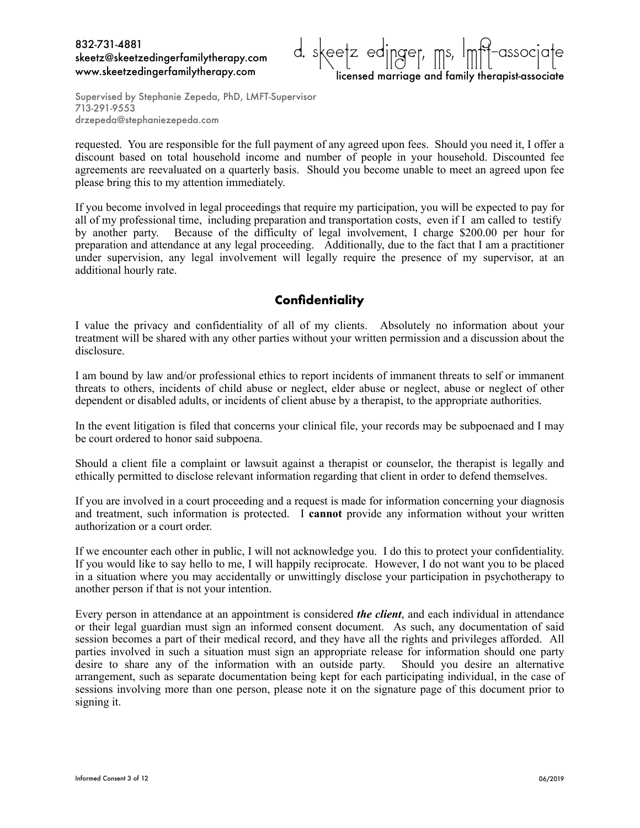

Supervised by Stephanie Zepeda, PhD, LMFT-Supervisor 713-291-9553 drzepeda@stephaniezepeda.com

requested. You are responsible for the full payment of any agreed upon fees. Should you need it, I offer a discount based on total household income and number of people in your household. Discounted fee agreements are reevaluated on a quarterly basis. Should you become unable to meet an agreed upon fee please bring this to my attention immediately.

If you become involved in legal proceedings that require my participation, you will be expected to pay for all of my professional time, including preparation and transportation costs, even if I am called to testify by another party. Because of the difficulty of legal involvement, I charge \$200.00 per hour for preparation and attendance at any legal proceeding. Additionally, due to the fact that I am a practitioner under supervision, any legal involvement will legally require the presence of my supervisor, at an additional hourly rate.

## **Confidentiality**

I value the privacy and confidentiality of all of my clients. Absolutely no information about your treatment will be shared with any other parties without your written permission and a discussion about the disclosure.

I am bound by law and/or professional ethics to report incidents of immanent threats to self or immanent threats to others, incidents of child abuse or neglect, elder abuse or neglect, abuse or neglect of other dependent or disabled adults, or incidents of client abuse by a therapist, to the appropriate authorities.

In the event litigation is filed that concerns your clinical file, your records may be subpoenaed and I may be court ordered to honor said subpoena.

Should a client file a complaint or lawsuit against a therapist or counselor, the therapist is legally and ethically permitted to disclose relevant information regarding that client in order to defend themselves.

If you are involved in a court proceeding and a request is made for information concerning your diagnosis and treatment, such information is protected. I **cannot** provide any information without your written authorization or a court order.

If we encounter each other in public, I will not acknowledge you. I do this to protect your confidentiality. If you would like to say hello to me, I will happily reciprocate. However, I do not want you to be placed in a situation where you may accidentally or unwittingly disclose your participation in psychotherapy to another person if that is not your intention.

Every person in attendance at an appointment is considered *the client*, and each individual in attendance or their legal guardian must sign an informed consent document. As such, any documentation of said session becomes a part of their medical record, and they have all the rights and privileges afforded. All parties involved in such a situation must sign an appropriate release for information should one party desire to share any of the information with an outside party. Should you desire an alternative arrangement, such as separate documentation being kept for each participating individual, in the case of sessions involving more than one person, please note it on the signature page of this document prior to signing it.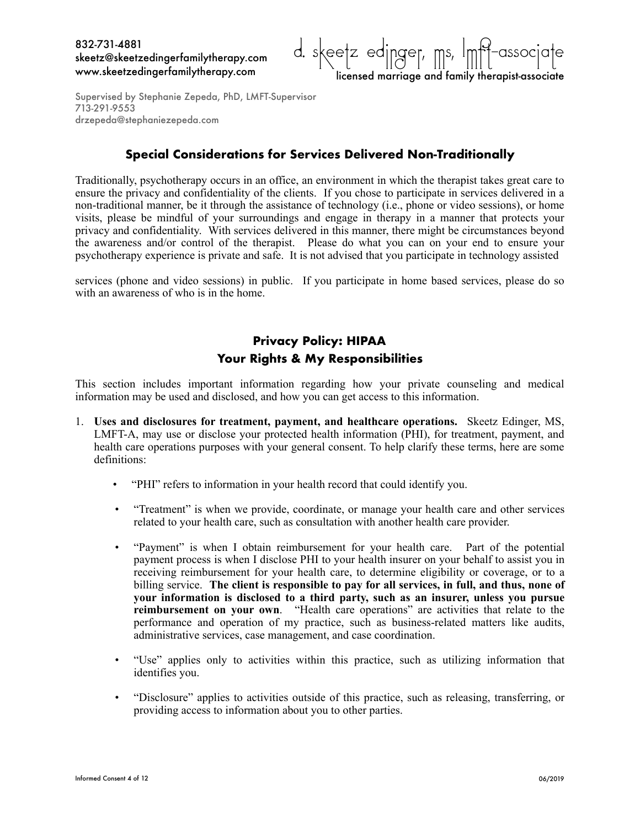

## **Special Considerations for Services Delivered Non-Traditionally**

Traditionally, psychotherapy occurs in an office, an environment in which the therapist takes great care to ensure the privacy and confidentiality of the clients. If you chose to participate in services delivered in a non-traditional manner, be it through the assistance of technology (i.e., phone or video sessions), or home visits, please be mindful of your surroundings and engage in therapy in a manner that protects your privacy and confidentiality. With services delivered in this manner, there might be circumstances beyond the awareness and/or control of the therapist. Please do what you can on your end to ensure your psychotherapy experience is private and safe. It is not advised that you participate in technology assisted

services (phone and video sessions) in public. If you participate in home based services, please do so with an awareness of who is in the home.

## **Privacy Policy: HIPAA Your Rights & My Responsibilities**

This section includes important information regarding how your private counseling and medical information may be used and disclosed, and how you can get access to this information.

- 1. **Uses and disclosures for treatment, payment, and healthcare operations.** Skeetz Edinger, MS, LMFT-A, may use or disclose your protected health information (PHI), for treatment, payment, and health care operations purposes with your general consent. To help clarify these terms, here are some definitions:
	- "PHI" refers to information in your health record that could identify you.
	- "Treatment" is when we provide, coordinate, or manage your health care and other services related to your health care, such as consultation with another health care provider.
	- "Payment" is when I obtain reimbursement for your health care. Part of the potential payment process is when I disclose PHI to your health insurer on your behalf to assist you in receiving reimbursement for your health care, to determine eligibility or coverage, or to a billing service. **The client is responsible to pay for all services, in full, and thus, none of your information is disclosed to a third party, such as an insurer, unless you pursue reimbursement on your own**. "Health care operations" are activities that relate to the performance and operation of my practice, such as business-related matters like audits, administrative services, case management, and case coordination.
	- "Use" applies only to activities within this practice, such as utilizing information that identifies you.
	- "Disclosure" applies to activities outside of this practice, such as releasing, transferring, or providing access to information about you to other parties.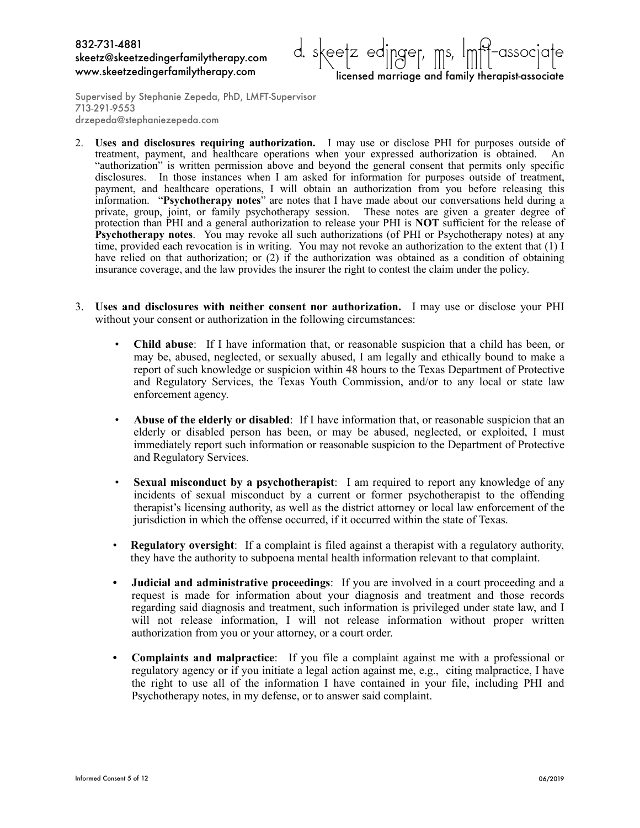

Supervised by Stephanie Zepeda, PhD, LMFT-Supervisor 713-291-9553 drzepeda@stephaniezepeda.com

- 2. **Uses and disclosures requiring authorization.** I may use or disclose PHI for purposes outside of treatment, payment, and healthcare operations when your expressed authorization is obtained. An "authorization" is written permission above and beyond the general consent that permits only specific disclosures. In those instances when I am asked for information for purposes outside of treatment, payment, and healthcare operations, I will obtain an authorization from you before releasing this information. "**Psychotherapy notes**" are notes that I have made about our conversations held during a private, group, joint, or family psychotherapy session. These notes are given a greater degree of protection than PHI and a general authorization to release your PHI is **NOT** sufficient for the release of **Psychotherapy notes**. You may revoke all such authorizations (of PHI or Psychotherapy notes) at any time, provided each revocation is in writing. You may not revoke an authorization to the extent that (1) I have relied on that authorization; or (2) if the authorization was obtained as a condition of obtaining insurance coverage, and the law provides the insurer the right to contest the claim under the policy.
- 3. **Uses and disclosures with neither consent nor authorization.** I may use or disclose your PHI without your consent or authorization in the following circumstances:
	- **Child abuse**: If I have information that, or reasonable suspicion that a child has been, or may be, abused, neglected, or sexually abused, I am legally and ethically bound to make a report of such knowledge or suspicion within 48 hours to the Texas Department of Protective and Regulatory Services, the Texas Youth Commission, and/or to any local or state law enforcement agency.
	- **Abuse of the elderly or disabled**: If I have information that, or reasonable suspicion that an elderly or disabled person has been, or may be abused, neglected, or exploited, I must immediately report such information or reasonable suspicion to the Department of Protective and Regulatory Services.
	- **Sexual misconduct by a psychotherapist**: I am required to report any knowledge of any incidents of sexual misconduct by a current or former psychotherapist to the offending therapist's licensing authority, as well as the district attorney or local law enforcement of the jurisdiction in which the offense occurred, if it occurred within the state of Texas.
	- **Regulatory oversight**: If a complaint is filed against a therapist with a regulatory authority, they have the authority to subpoena mental health information relevant to that complaint.
	- **• Judicial and administrative proceedings**: If you are involved in a court proceeding and a request is made for information about your diagnosis and treatment and those records regarding said diagnosis and treatment, such information is privileged under state law, and I will not release information, I will not release information without proper written authorization from you or your attorney, or a court order.
	- **• Complaints and malpractice**: If you file a complaint against me with a professional or regulatory agency or if you initiate a legal action against me, e.g., citing malpractice, I have the right to use all of the information I have contained in your file, including PHI and Psychotherapy notes, in my defense, or to answer said complaint.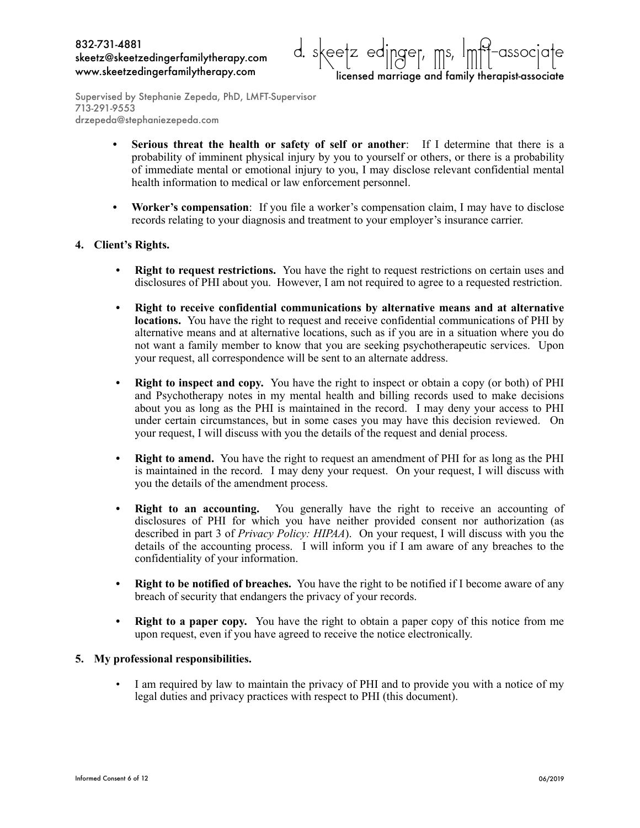

- **• Serious threat the health or safety of self or another**: If I determine that there is a probability of imminent physical injury by you to yourself or others, or there is a probability of immediate mental or emotional injury to you, I may disclose relevant confidential mental health information to medical or law enforcement personnel.
- **• Worker's compensation**: If you file a worker's compensation claim, I may have to disclose records relating to your diagnosis and treatment to your employer's insurance carrier.

#### **4. Client's Rights.**

- **• Right to request restrictions.** You have the right to request restrictions on certain uses and disclosures of PHI about you. However, I am not required to agree to a requested restriction.
- **• Right to receive confidential communications by alternative means and at alternative locations.** You have the right to request and receive confidential communications of PHI by alternative means and at alternative locations, such as if you are in a situation where you do not want a family member to know that you are seeking psychotherapeutic services. Upon your request, all correspondence will be sent to an alternate address.
- **• Right to inspect and copy.** You have the right to inspect or obtain a copy (or both) of PHI and Psychotherapy notes in my mental health and billing records used to make decisions about you as long as the PHI is maintained in the record. I may deny your access to PHI under certain circumstances, but in some cases you may have this decision reviewed. On your request, I will discuss with you the details of the request and denial process.
- **• Right to amend.** You have the right to request an amendment of PHI for as long as the PHI is maintained in the record. I may deny your request. On your request, I will discuss with you the details of the amendment process.
- **Right to an accounting.** You generally have the right to receive an accounting of disclosures of PHI for which you have neither provided consent nor authorization (as described in part 3 of *Privacy Policy: HIPAA*). On your request, I will discuss with you the details of the accounting process. I will inform you if I am aware of any breaches to the confidentiality of your information.
- **• Right to be notified of breaches.** You have the right to be notified if I become aware of any breach of security that endangers the privacy of your records.
- **• Right to a paper copy.** You have the right to obtain a paper copy of this notice from me upon request, even if you have agreed to receive the notice electronically.

#### **5. My professional responsibilities.**

I am required by law to maintain the privacy of PHI and to provide you with a notice of my legal duties and privacy practices with respect to PHI (this document).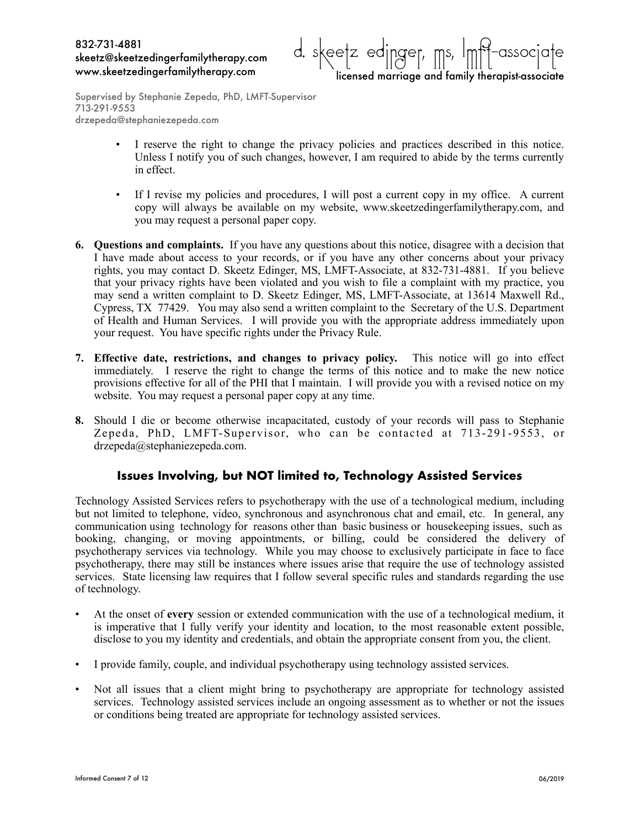

- I reserve the right to change the privacy policies and practices described in this notice. Unless I notify you of such changes, however, I am required to abide by the terms currently in effect.
- If I revise my policies and procedures, I will post a current copy in my office. A current copy will always be available on my website, www.skeetzedingerfamilytherapy.com, and you may request a personal paper copy.
- **6. Questions and complaints.** If you have any questions about this notice, disagree with a decision that I have made about access to your records, or if you have any other concerns about your privacy rights, you may contact D. Skeetz Edinger, MS, LMFT-Associate, at 832-731-4881. If you believe that your privacy rights have been violated and you wish to file a complaint with my practice, you may send a written complaint to D. Skeetz Edinger, MS, LMFT-Associate, at 13614 Maxwell Rd., Cypress, TX 77429. You may also send a written complaint to the Secretary of the U.S. Department of Health and Human Services. I will provide you with the appropriate address immediately upon your request. You have specific rights under the Privacy Rule.
- **7. Effective date, restrictions, and changes to privacy policy.** This notice will go into effect immediately. I reserve the right to change the terms of this notice and to make the new notice provisions effective for all of the PHI that I maintain. I will provide you with a revised notice on my website. You may request a personal paper copy at any time.
- **8.** Should I die or become otherwise incapacitated, custody of your records will pass to Stephanie Zepeda, PhD, LMFT-Supervisor, who can be contacted at 713-291-9553, or drzepeda@stephaniezepeda.com.

### **Issues Involving, but NOT limited to, Technology Assisted Services**

Technology Assisted Services refers to psychotherapy with the use of a technological medium, including but not limited to telephone, video, synchronous and asynchronous chat and email, etc. In general, any communication using technology for reasons other than basic business or housekeeping issues, such as booking, changing, or moving appointments, or billing, could be considered the delivery of psychotherapy services via technology. While you may choose to exclusively participate in face to face psychotherapy, there may still be instances where issues arise that require the use of technology assisted services. State licensing law requires that I follow several specific rules and standards regarding the use of technology.

- At the onset of **every** session or extended communication with the use of a technological medium, it is imperative that I fully verify your identity and location, to the most reasonable extent possible, disclose to you my identity and credentials, and obtain the appropriate consent from you, the client.
- I provide family, couple, and individual psychotherapy using technology assisted services.
- Not all issues that a client might bring to psychotherapy are appropriate for technology assisted services. Technology assisted services include an ongoing assessment as to whether or not the issues or conditions being treated are appropriate for technology assisted services.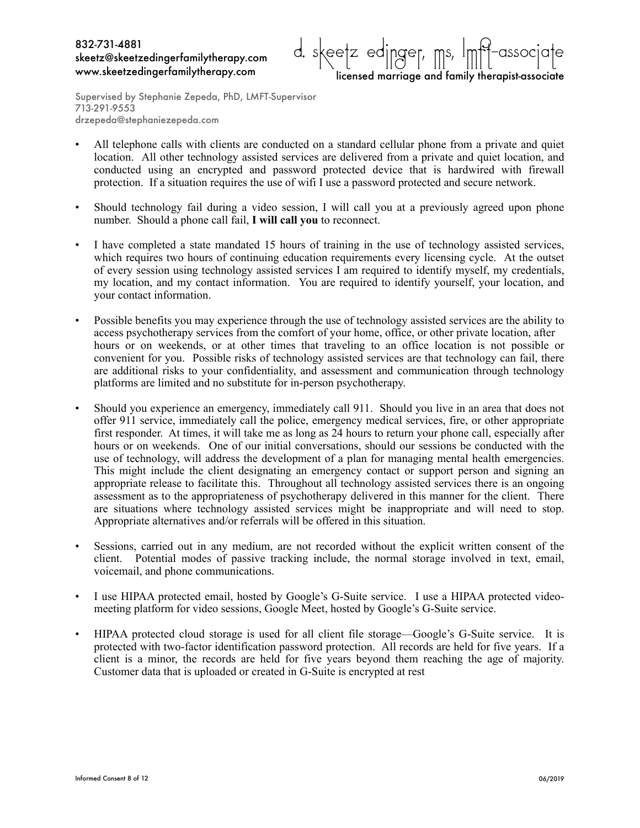

Supervised by Stephanie Zepeda, PhD, LMFT-Supervisor 713-291-9553 drzepeda@stephaniezepeda.com

- All telephone calls with clients are conducted on a standard cellular phone from a private and quiet location. All other technology assisted services are delivered from a private and quiet location, and conducted using an encrypted and password protected device that is hardwired with firewall protection. If a situation requires the use of wifi I use a password protected and secure network.
- Should technology fail during a video session, I will call you at a previously agreed upon phone number. Should a phone call fail, **I will call you** to reconnect.
- I have completed a state mandated 15 hours of training in the use of technology assisted services, which requires two hours of continuing education requirements every licensing cycle. At the outset of every session using technology assisted services I am required to identify myself, my credentials, my location, and my contact information. You are required to identify yourself, your location, and your contact information.
- Possible benefits you may experience through the use of technology assisted services are the ability to access psychotherapy services from the comfort of your home, office, or other private location, after hours or on weekends, or at other times that traveling to an office location is not possible or convenient for you. Possible risks of technology assisted services are that technology can fail, there are additional risks to your confidentiality, and assessment and communication through technology platforms are limited and no substitute for in-person psychotherapy.
- Should you experience an emergency, immediately call 911. Should you live in an area that does not offer 911 service, immediately call the police, emergency medical services, fire, or other appropriate first responder. At times, it will take me as long as 24 hours to return your phone call, especially after hours or on weekends. One of our initial conversations, should our sessions be conducted with the use of technology, will address the development of a plan for managing mental health emergencies. This might include the client designating an emergency contact or support person and signing an appropriate release to facilitate this. Throughout all technology assisted services there is an ongoing assessment as to the appropriateness of psychotherapy delivered in this manner for the client. There are situations where technology assisted services might be inappropriate and will need to stop. Appropriate alternatives and/or referrals will be offered in this situation.
- Sessions, carried out in any medium, are not recorded without the explicit written consent of the client. Potential modes of passive tracking include, the normal storage involved in text, email, voicemail, and phone communications.
- I use HIPAA protected email, hosted by Google's G-Suite service. I use a HIPAA protected videomeeting platform for video sessions, Google Meet, hosted by Google's G-Suite service.
- HIPAA protected cloud storage is used for all client file storage—Google's G-Suite service. It is protected with two-factor identification password protection. All records are held for five years. If a client is a minor, the records are held for five years beyond them reaching the age of majority. Customer data that is uploaded or created in G-Suite is encrypted at rest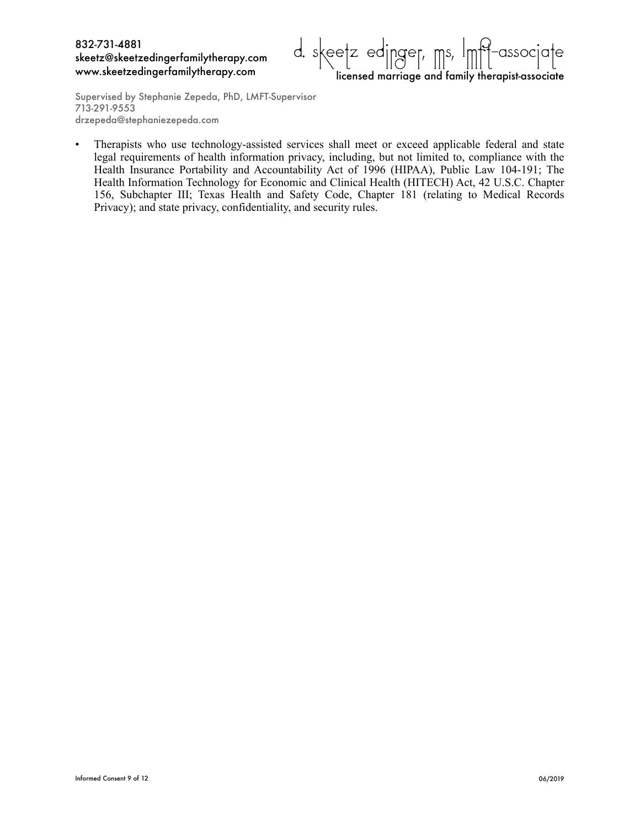

Supervised by Stephanie Zepeda, PhD, LMFT-Supervisor 713-291-9553 drzepeda@stephaniezepeda.com

• Therapists who use technology-assisted services shall meet or exceed applicable federal and state legal requirements of health information privacy, including, but not limited to, compliance with the Health Insurance Portability and Accountability Act of 1996 (HIPAA), Public Law 104-191; The Health Information Technology for Economic and Clinical Health (HITECH) Act, 42 U.S.C. Chapter 156, Subchapter III; Texas Health and Safety Code, Chapter 181 (relating to Medical Records Privacy); and state privacy, confidentiality, and security rules.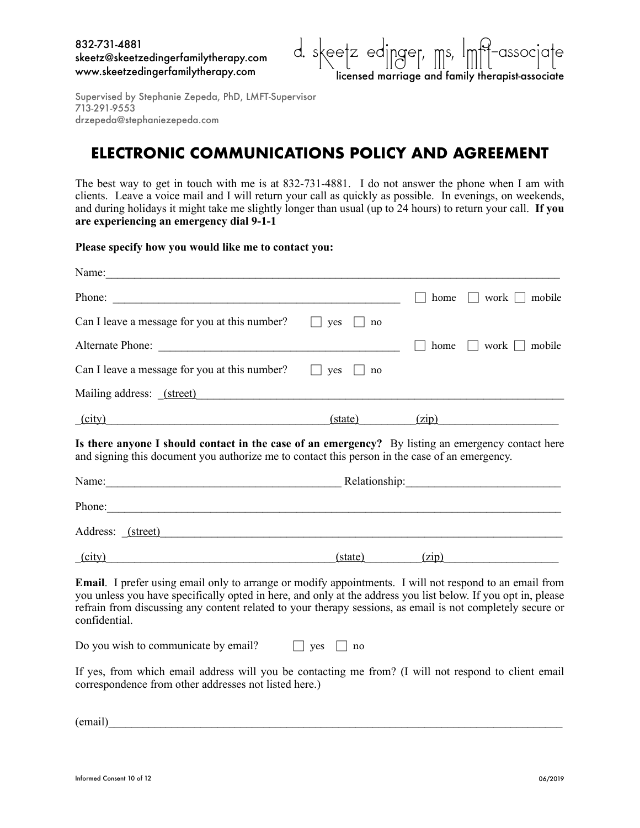

## **ELECTRONIC COMMUNICATIONS POLICY AND AGREEMENT**

The best way to get in touch with me is at 832-731-4881. I do not answer the phone when I am with clients. Leave a voice mail and I will return your call as quickly as possible. In evenings, on weekends, and during holidays it might take me slightly longer than usual (up to 24 hours) to return your call. **If you are experiencing an emergency dial 9-1-1** 

**Please specify how you would like me to contact you:** 

| Name:                                                                                                                                                                                                                                                                                                                                                           |                      |      |                                 |  |  |
|-----------------------------------------------------------------------------------------------------------------------------------------------------------------------------------------------------------------------------------------------------------------------------------------------------------------------------------------------------------------|----------------------|------|---------------------------------|--|--|
|                                                                                                                                                                                                                                                                                                                                                                 |                      | home | work     mobile                 |  |  |
| Can I leave a message for you at this number?                                                                                                                                                                                                                                                                                                                   | $\Box$ yes $\Box$ no |      |                                 |  |  |
| Alternate Phone:                                                                                                                                                                                                                                                                                                                                                |                      |      | home $\vert$   work     mobile  |  |  |
| Can I leave a message for you at this number?                                                                                                                                                                                                                                                                                                                   | yes<br>no.           |      |                                 |  |  |
|                                                                                                                                                                                                                                                                                                                                                                 |                      |      |                                 |  |  |
| (city)                                                                                                                                                                                                                                                                                                                                                          |                      |      | $(xip)$ $(zip)$                 |  |  |
| Is there anyone I should contact in the case of an emergency? By listing an emergency contact here<br>and signing this document you authorize me to contact this person in the case of an emergency.<br>Name: <u>Name:</u> Relationship: Relationship:                                                                                                          |                      |      |                                 |  |  |
|                                                                                                                                                                                                                                                                                                                                                                 |                      |      |                                 |  |  |
|                                                                                                                                                                                                                                                                                                                                                                 |                      |      |                                 |  |  |
| Phone:<br>Address: (street)                                                                                                                                                                                                                                                                                                                                     |                      |      |                                 |  |  |
| (city)                                                                                                                                                                                                                                                                                                                                                          |                      |      | $(\text{state})$ $(\text{zip})$ |  |  |
| <b>Email</b> . I prefer using email only to arrange or modify appointments. I will not respond to an email from<br>you unless you have specifically opted in here, and only at the address you list below. If you opt in, please<br>refrain from discussing any content related to your therapy sessions, as email is not completely secure or<br>confidential. |                      |      |                                 |  |  |

If yes, from which email address will you be contacting me from? (I will not respond to client email correspondence from other addresses not listed here.)

 $(e$ mail)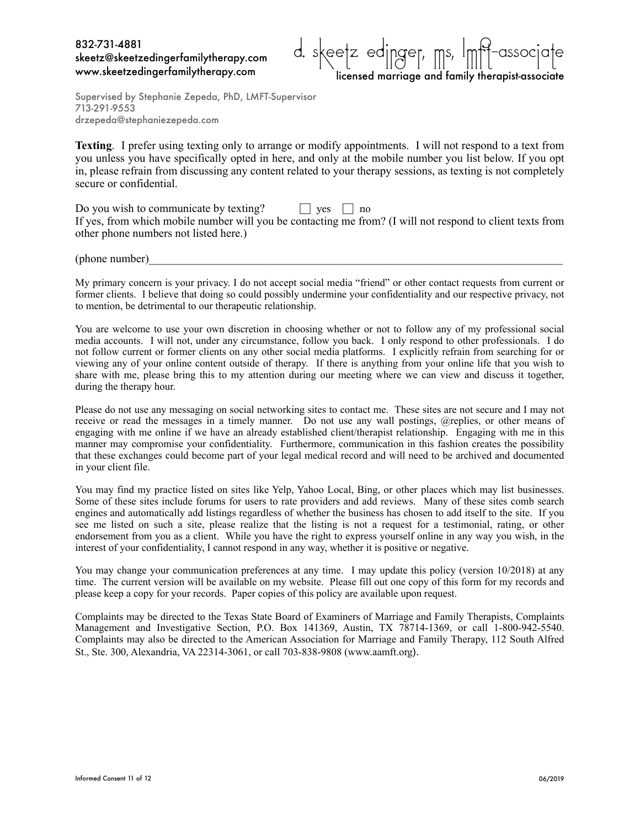

Supervised by Stephanie Zepeda, PhD, LMFT-Supervisor 713-291-9553 drzepeda@stephaniezepeda.com

**Texting**. I prefer using texting only to arrange or modify appointments. I will not respond to a text from you unless you have specifically opted in here, and only at the mobile number you list below. If you opt in, please refrain from discussing any content related to your therapy sessions, as texting is not completely secure or confidential.

| Do you wish to communicate by texting?                                                                    | $\vert$ ves $\vert$ no |  |  |
|-----------------------------------------------------------------------------------------------------------|------------------------|--|--|
| If yes, from which mobile number will you be contacting me from? (I will not respond to client texts from |                        |  |  |
| other phone numbers not listed here.)                                                                     |                        |  |  |

 $(phone number)$ 

My primary concern is your privacy. I do not accept social media "friend" or other contact requests from current or former clients. I believe that doing so could possibly undermine your confidentiality and our respective privacy, not to mention, be detrimental to our therapeutic relationship.

You are welcome to use your own discretion in choosing whether or not to follow any of my professional social media accounts. I will not, under any circumstance, follow you back. I only respond to other professionals. I do not follow current or former clients on any other social media platforms. I explicitly refrain from searching for or viewing any of your online content outside of therapy. If there is anything from your online life that you wish to share with me, please bring this to my attention during our meeting where we can view and discuss it together, during the therapy hour.

Please do not use any messaging on social networking sites to contact me. These sites are not secure and I may not receive or read the messages in a timely manner. Do not use any wall postings, @replies, or other means of engaging with me online if we have an already established client/therapist relationship. Engaging with me in this manner may compromise your confidentiality. Furthermore, communication in this fashion creates the possibility that these exchanges could become part of your legal medical record and will need to be archived and documented in your client file.

You may find my practice listed on sites like Yelp, Yahoo Local, Bing, or other places which may list businesses. Some of these sites include forums for users to rate providers and add reviews. Many of these sites comb search engines and automatically add listings regardless of whether the business has chosen to add itself to the site. If you see me listed on such a site, please realize that the listing is not a request for a testimonial, rating, or other endorsement from you as a client. While you have the right to express yourself online in any way you wish, in the interest of your confidentiality, I cannot respond in any way, whether it is positive or negative.

You may change your communication preferences at any time. I may update this policy (version 10/2018) at any time. The current version will be available on my website. Please fill out one copy of this form for my records and please keep a copy for your records. Paper copies of this policy are available upon request.

Complaints may be directed to the Texas State Board of Examiners of Marriage and Family Therapists, Complaints Management and Investigative Section, P.O. Box 141369, Austin, TX 78714-1369, or call 1-800-942-5540. Complaints may also be directed to the American Association for Marriage and Family Therapy, 112 South Alfred St., Ste. 300, Alexandria, VA 22314-3061, or call 703-838-9808 ([www.aamft.org](http://www.aamft.org)).